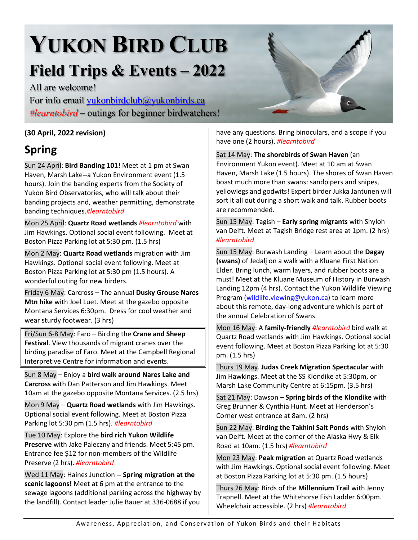# **YUKON BIRD CLUB**

# **Field Trips & Events – 2022**

All are welcome! For info email [yukonbirdclub@yukonbirds.ca](mailto:yukonbirdclub@yukonbirds.ca) *#learntobird* – outings for beginner birdwatchers!

#### **(30 April, 2022 revision)**

### **Spring**

Sun 24 April: **Bird Banding 101!** Meet at 1 pm at Swan Haven, Marsh Lake--a Yukon Environment event (1.5 hours). Join the banding experts from the Society of Yukon Bird Observatories, who will talk about their banding projects and, weather permitting, demonstrate banding techniques.*#learntobird*

Mon 25 April: **Quartz Road wetlands** *#learntobird* with Jim Hawkings. Optional social event following. Meet at Boston Pizza Parking lot at 5:30 pm. (1.5 hrs)

Mon 2 May: **Quartz Road wetlands** migration with Jim Hawkings. Optional social event following. Meet at Boston Pizza Parking lot at 5:30 pm (1.5 hours). A wonderful outing for new birders.

Friday 6 May: Carcross – The annual **Dusky Grouse Nares Mtn hike** with Joel Luet. Meet at the gazebo opposite Montana Services 6:30pm. Dress for cool weather and wear sturdy footwear. (3 hrs)

Fri/Sun 6-8 May: Faro – Birding the **Crane and Sheep Festival**. View thousands of migrant cranes over the birding paradise of Faro. Meet at the Campbell Regional Interpretive Centre for information and events.

Sun 8 May – Enjoy a **bird walk around Nares Lake and Carcross** with Dan Patterson and Jim Hawkings. Meet 10am at the gazebo opposite Montana Services. (2.5 hrs)

Mon 9 May – **Quartz Road wetlands** with Jim Hawkings. Optional social event following. Meet at Boston Pizza Parking lot 5:30 pm (1.5 hrs). *#learntobird*

Tue 10 May: Explore the **bird rich Yukon Wildlife Preserve** with Jake Paleczny and friends. Meet 5:45 pm. Entrance fee \$12 for non-members of the Wildlife Preserve (2 hrs). *#learntobird*

Wed 11 May: Haines Junction -- **Spring migration at the scenic lagoons!** Meet at 6 pm at the entrance to the sewage lagoons (additional parking across the highway by the landfill). Contact leader Julie Bauer at 336-0688 if you

have any questions. Bring binoculars, and a scope if you have one (2 hours). *#learntobird*

Sat 14 May: **The shorebirds of Swan Haven** (an

Environment Yukon event). Meet at 10 am at Swan Haven, Marsh Lake (1.5 hours). The shores of Swan Haven boast much more than swans: sandpipers and snipes, yellowlegs and godwits! Expert birder Jukka Jantunen will sort it all out during a short walk and talk. Rubber boots are recommended.

Sun 15 May: Tagish – **Early spring migrants** with Shyloh van Delft. Meet at Tagish Bridge rest area at 1pm. (2 hrs) *#learntobird*

Sun 15 May: Burwash Landing – Learn about the **Dagay (swans)** of Jedalį on a walk with a Kluane First Nation Elder. Bring lunch, warm layers, and rubber boots are a must! Meet at the Kluane Museum of History in Burwash Landing 12pm (4 hrs). Contact the Yukon Wildlife Viewing Program [\(wildlife.viewing@yukon.ca\)](mailto:wildlife.viewing@yukon.ca) to learn more about this remote, day-long adventure which is part of the annual Celebration of Swans.

Mon 16 May: A **family-friendly** *#learntobird* bird walk at Quartz Road wetlands with Jim Hawkings. Optional social event following. Meet at Boston Pizza Parking lot at 5:30 pm. (1.5 hrs)

Thurs 19 May. **Judas Creek Migration Spectacular** with Jim Hawkings. Meet at the SS Klondike at 5:30pm, or Marsh Lake Community Centre at 6:15pm. (3.5 hrs)

Sat 21 May: Dawson – **Spring birds of the Klondike** with Greg Brunner & Cynthia Hunt. Meet at Henderson's Corner west entrance at 8am. (2 hrs)

Sun 22 May: **Birding the Takhini Salt Ponds** with Shyloh van Delft. Meet at the corner of the Alaska Hwy & Elk Road at 10am. (1.5 hrs) *#learntobird*

Mon 23 May: **Peak migration** at Quartz Road wetlands with Jim Hawkings. Optional social event following. Meet at Boston Pizza Parking lot at 5:30 pm. (1.5 hours)

Thurs 26 May: Birds of the **Millennium Trail** with Jenny Trapnell. Meet at the Whitehorse Fish Ladder 6:00pm. Wheelchair accessible. (2 hrs) *#learntobird*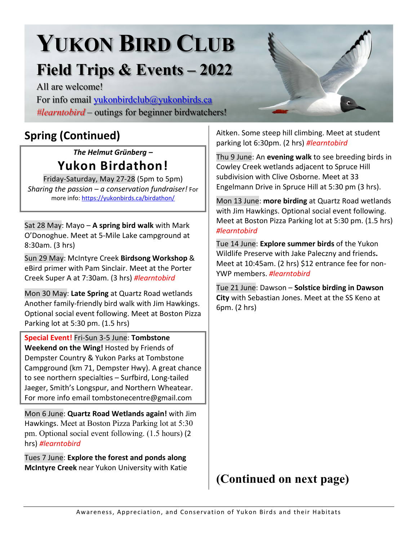# **YUKON BIRD CLUB**

## **Field Trips & Events – 2022**

All are welcome!

For info email [yukonbirdclub@yukonbirds.ca](mailto:yukonbirdclub@yukonbirds.ca) *#learntobird* – outings for beginner birdwatchers!

## **Spring (Continued)**

#### *The Helmut Grünberg –*  **Yukon Birdathon!**

Friday-Saturday, May 27-28 (5pm to 5pm) *Sharing the passion – a conservation fundraiser!* For more info:<https://yukonbirds.ca/birdathon/>

Sat 28 May: Mayo – **A spring bird walk** with Mark O'Donoghue. Meet at 5-Mile Lake campground at 8:30am. (3 hrs)

Sun 29 May: McIntyre Creek **Birdsong Workshop** & eBird primer with Pam Sinclair. Meet at the Porter Creek Super A at 7:30am. (3 hrs) *#learntobird*

Mon 30 May: **Late Spring** at Quartz Road wetlands Another family-friendly bird walk with Jim Hawkings. Optional social event following. Meet at Boston Pizza Parking lot at 5:30 pm. (1.5 hrs)

**Special Event!** Fri-Sun 3-5 June: **Tombstone Weekend on the Wing!** Hosted by Friends of Dempster Country & Yukon Parks at Tombstone Campground (km 71, Dempster Hwy). A great chance to see northern specialties – Surfbird, Long-tailed Jaeger, Smith's Longspur, and Northern Wheatear. For more info email tombstonecentre@gmail.com

Mon 6 June: **Quartz Road Wetlands again!** with Jim Hawkings. Meet at Boston Pizza Parking lot at 5:30 pm. Optional social event following. (1.5 hours) (2 hrs) *#learntobird*

Tues 7 June: **Explore the forest and ponds along McIntyre Creek** near Yukon University with Katie

Aitken. Some steep hill climbing. Meet at student parking lot 6:30pm. (2 hrs) *#learntobird*

Thu 9 June: An **evening walk** to see breeding birds in Cowley Creek wetlands adjacent to Spruce Hill subdivision with Clive Osborne. Meet at 33 Engelmann Drive in Spruce Hill at 5:30 pm (3 hrs).

Mon 13 June: **more birding** at Quartz Road wetlands with Jim Hawkings. Optional social event following. Meet at Boston Pizza Parking lot at 5:30 pm. (1.5 hrs) *#learntobird*

Tue 14 June: **Explore summer birds** of the Yukon Wildlife Preserve with Jake Paleczny and friends**.**  Meet at 10:45am. (2 hrs) \$12 entrance fee for non-YWP members. *#learntobird*

Tue 21 June: Dawson – **Solstice birding in Dawson City** with Sebastian Jones. Meet at the SS Keno at 6pm. (2 hrs)

### **(Continued on next page)**